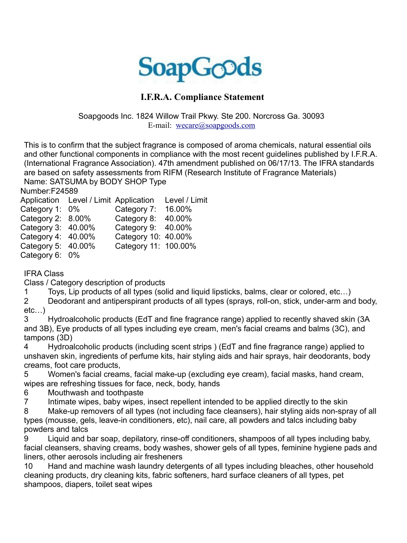

## **I.F.R.A. Compliance Statement**

Soapgoods Inc. 1824 Willow Trail Pkwy. Ste 200. Norcross Ga. 30093 E-mail: [wecare@soapgoods.com](mailto:wecare@soapgoods.com)

This is to confirm that the subject fragrance is composed of aroma chemicals, natural essential oils and other functional components in compliance with the most recent guidelines published by I.F.R.A. (International Fragrance Association). 47th amendment published on 06/17/13. The IFRA standards are based on safety assessments from RIFM (Research Institute of Fragrance Materials) Name: SATSUMA by BODY SHOP Type

Number:F24589

|                      | Application Level / Limit Application |                      | Level / Limit |
|----------------------|---------------------------------------|----------------------|---------------|
| Category 1: 0%       |                                       | Category 7:          | 16.00%        |
| Category 2: $8.00\%$ |                                       | Category 8:          | 40.00%        |
| Category 3: 40.00%   |                                       | Category 9: 40.00%   |               |
| Category 4: 40.00%   |                                       | Category 10: 40.00%  |               |
| Category 5: 40.00%   |                                       | Category 11: 100.00% |               |
| Category 6: 0%       |                                       |                      |               |
|                      |                                       |                      |               |

IFRA Class

Class / Category description of products

1 Toys, Lip products of all types (solid and liquid lipsticks, balms, clear or colored, etc…)

2 Deodorant and antiperspirant products of all types (sprays, roll-on, stick, under-arm and body, etc…)

3 Hydroalcoholic products (EdT and fine fragrance range) applied to recently shaved skin (3A and 3B), Eye products of all types including eye cream, men's facial creams and balms (3C), and tampons (3D)

4 Hydroalcoholic products (including scent strips ) (EdT and fine fragrance range) applied to unshaven skin, ingredients of perfume kits, hair styling aids and hair sprays, hair deodorants, body creams, foot care products,

5 Women's facial creams, facial make-up (excluding eye cream), facial masks, hand cream, wipes are refreshing tissues for face, neck, body, hands

6 Mouthwash and toothpaste

7 Intimate wipes, baby wipes, insect repellent intended to be applied directly to the skin

8 Make-up removers of all types (not including face cleansers), hair styling aids non-spray of all types (mousse, gels, leave-in conditioners, etc), nail care, all powders and talcs including baby powders and talcs

9 Liquid and bar soap, depilatory, rinse-off conditioners, shampoos of all types including baby, facial cleansers, shaving creams, body washes, shower gels of all types, feminine hygiene pads and liners, other aerosols including air fresheners

10 Hand and machine wash laundry detergents of all types including bleaches, other household cleaning products, dry cleaning kits, fabric softeners, hard surface cleaners of all types, pet shampoos, diapers, toilet seat wipes